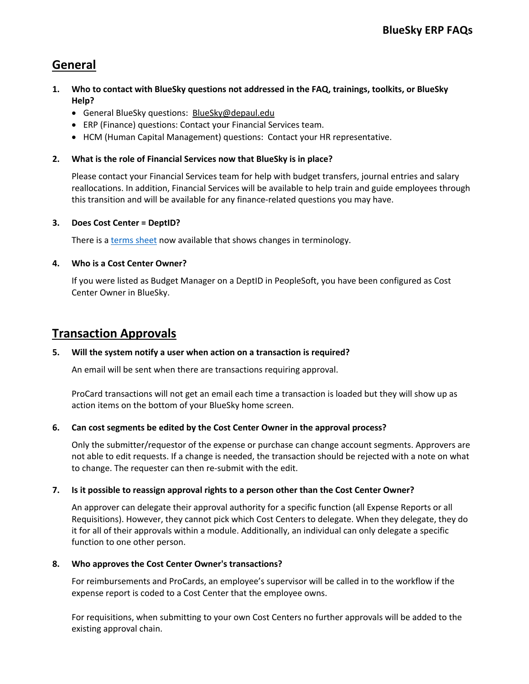# **General**

- **1. Who to contact with BlueSky questions not addressed in the FAQ, trainings, toolkits, or BlueSky Help?** 
	- General BlueSky questions: BlueSky@depaul.edu
	- ERP (Finance) questions: Contact your Financial Services team.
	- HCM (Human Capital Management) questions: Contact your HR representative.

# **2. What is the role of Financial Services now that BlueSky is in place?**

Please contact your Financial Services team for help with budget transfers, journal entries and salary reallocations. In addition, Financial Services will be available to help train and guide employees through this transition and will be available for any finance-related questions you may have.

# **3. Does Cost Center = DeptID?**

There is a terms sheet now available that shows changes in terminology.

## **4. Who is a Cost Center Owner?**

If you were listed as Budget Manager on a DeptID in PeopleSoft, you have been configured as Cost Center Owner in BlueSky.

# **Transaction Approvals**

### **5. Will the system notify a user when action on a transaction is required?**

An email will be sent when there are transactions requiring approval.

ProCard transactions will not get an email each time a transaction is loaded but they will show up as action items on the bottom of your BlueSky home screen.

# **6. Can cost segments be edited by the Cost Center Owner in the approval process?**

Only the submitter/requestor of the expense or purchase can change account segments. Approvers are not able to edit requests. If a change is needed, the transaction should be rejected with a note on what to change. The requester can then re-submit with the edit.

### **7. Is it possible to reassign approval rights to a person other than the Cost Center Owner?**

An approver can delegate their approval authority for a specific function (all Expense Reports or all Requisitions). However, they cannot pick which Cost Centers to delegate. When they delegate, they do it for all of their approvals within a module. Additionally, an individual can only delegate a specific function to one other person.

### **8. Who approves the Cost Center Owner's transactions?**

For reimbursements and ProCards, an employee's supervisor will be called in to the workflow if the expense report is coded to a Cost Center that the employee owns.

For requisitions, when submitting to your own Cost Centers no further approvals will be added to the existing approval chain.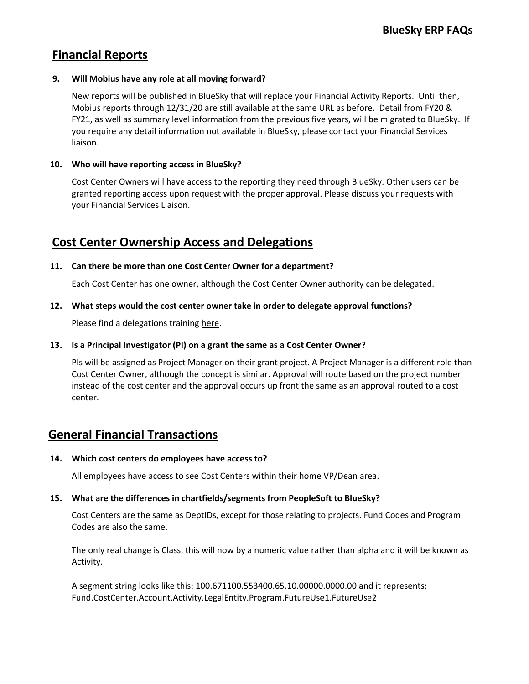# **Financial Reports**

## **9. Will Mobius have any role at all moving forward?**

New reports will be published in BlueSky that will replace your Financial Activity Reports. Until then, Mobius reports through 12/31/20 are still available at the same URL as before. Detail from FY20 & FY21, as well as summary level information from the previous five years, will be migrated to BlueSky. If you require any detail information not available in BlueSky, please contact your Financial Services liaison.

## **10. Who will have reporting access in BlueSky?**

Cost Center Owners will have access to the reporting they need through BlueSky. Other users can be granted reporting access upon request with the proper approval. Please discuss your requests with your Financial Services Liaison.

# **Cost Center Ownership Access and Delegations**

## **11. Can there be more than one Cost Center Owner for a department?**

Each Cost Center has one owner, although the Cost Center Owner authority can be delegated.

## **12. What steps would the cost center owner take in order to delegate approval functions?**

Please find a delegations training here.

### **13. Is a Principal Investigator (PI) on a grant the same as a Cost Center Owner?**

PIs will be assigned as Project Manager on their grant project. A Project Manager is a different role than Cost Center Owner, although the concept is similar. Approval will route based on the project number instead of the cost center and the approval occurs up front the same as an approval routed to a cost center.

# **General Financial Transactions**

# **14. Which cost centers do employees have access to?**

All employees have access to see Cost Centers within their home VP/Dean area.

# **15. What are the differences in chartfields/segments from PeopleSoft to BlueSky?**

Cost Centers are the same as DeptIDs, except for those relating to projects. Fund Codes and Program Codes are also the same.

The only real change is Class, this will now by a numeric value rather than alpha and it will be known as Activity.

A segment string looks like this: 100.671100.553400.65.10.00000.0000.00 and it represents: Fund.CostCenter.Account.Activity.LegalEntity.Program.FutureUse1.FutureUse2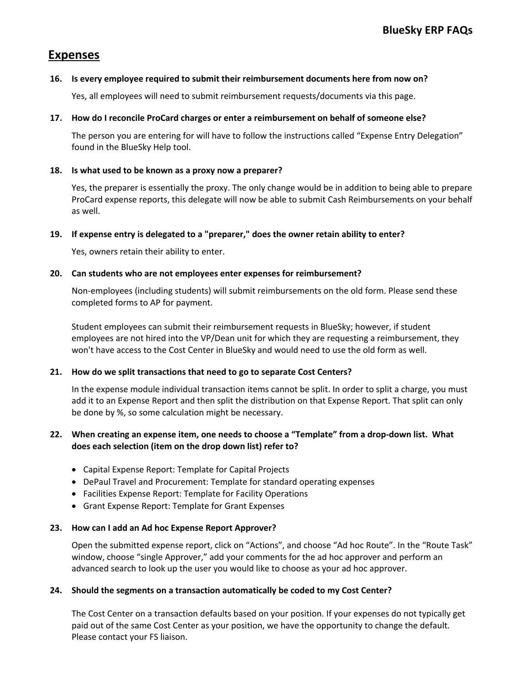# **Expenses**

#### **16. Is every employee required to submit their reimbursement documents here from now on?**

Yes, all employees will need to submit reimbursement requests/documents via this page.

#### **17. How do I reconcile ProCard charges or enter a reimbursement on behalf of someone else?**

The person you are entering for will have to follow the instructions called "Expense Entry Delegation" found in the BlueSky Help tool.

#### **18. Is what used to be known as a proxy now a preparer?**

Yes, the preparer is essentially the proxy. The only change would be in addition to being able to prepare ProCard expense reports, this delegate will now be able to submit Cash Reimbursements on your behalf as well.

#### **19. If expense entry is delegated to a "preparer," does the owner retain ability to enter?**

Yes, owners retain their ability to enter.

#### **20. Can students who are not employees enter expenses for reimbursement?**

Non-employees (including students) will submit reimbursements on the old form. Please send these completed forms to AP for payment.

Student employees can submit their reimbursement requests in BlueSky; however, if student employees are not hired into the VP/Dean unit for which they are requesting a reimbursement, they won't have access to the Cost Center in BlueSky and would need to use the old form as well.

### **21. How do we split transactions that need to go to separate Cost Centers?**

In the expense module individual transaction items cannot be split. In order to split a charge, you must add it to an Expense Report and then split the distribution on that Expense Report. That split can only be done by %, so some calculation might be necessary.

### **22. When creating an expense item, one needs to choose a "Template" from a drop-down list. What does each selection (item on the drop down list) refer to?**

- Capital Expense Report: Template for Capital Projects
- DePaul Travel and Procurement: Template for standard operating expenses
- Facilities Expense Report: Template for Facility Operations
- Grant Expense Report: Template for Grant Expenses

#### **23. How can I add an Ad hoc Expense Report Approver?**

Open the submitted expense report, click on "Actions", and choose "Ad hoc Route". In the "Route Task" window, choose "single Approver," add your comments for the ad hoc approver and perform an advanced search to look up the user you would like to choose as your ad hoc approver.

#### **24. Should the segments on a transaction automatically be coded to my Cost Center?**

The Cost Center on a transaction defaults based on your position. If your expenses do not typically get paid out of the same Cost Center as your position, we have the opportunity to change the default. Please contact your FS liaison.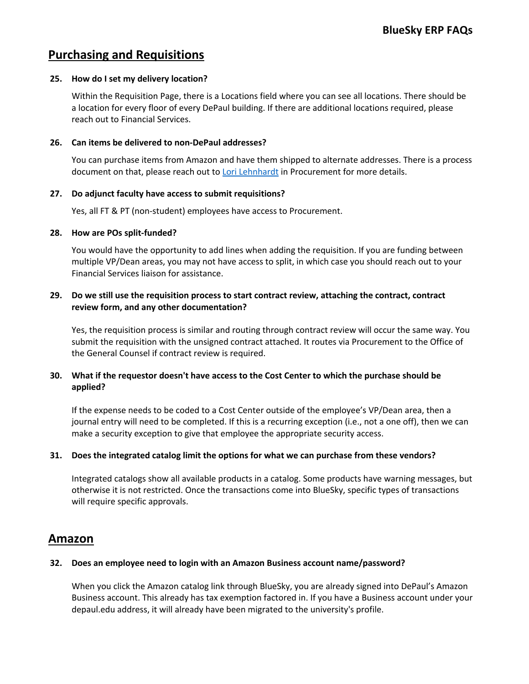# **Purchasing and Requisitions**

### **25. How do I set my delivery location?**

Within the Requisition Page, there is a Locations field where you can see all locations. There should be a location for every floor of every DePaul building. If there are additional locations required, please reach out to Financial Services.

#### **26. Can items be delivered to non-DePaul addresses?**

You can purchase items from Amazon and have them shipped to alternate addresses. There is a process document on that, please reach out to Lori Lehnhardt in Procurement for more details.

#### **27. Do adjunct faculty have access to submit requisitions?**

Yes, all FT & PT (non-student) employees have access to Procurement.

#### **28. How are POs split-funded?**

You would have the opportunity to add lines when adding the requisition. If you are funding between multiple VP/Dean areas, you may not have access to split, in which case you should reach out to your Financial Services liaison for assistance.

## **29. Do we still use the requisition process to start contract review, attaching the contract, contract review form, and any other documentation?**

Yes, the requisition process is similar and routing through contract review will occur the same way. You submit the requisition with the unsigned contract attached. It routes via Procurement to the Office of the General Counsel if contract review is required.

## **30. What if the requestor doesn't have access to the Cost Center to which the purchase should be applied?**

If the expense needs to be coded to a Cost Center outside of the employee's VP/Dean area, then a journal entry will need to be completed. If this is a recurring exception (i.e., not a one off), then we can make a security exception to give that employee the appropriate security access.

### **31. Does the integrated catalog limit the options for what we can purchase from these vendors?**

Integrated catalogs show all available products in a catalog. Some products have warning messages, but otherwise it is not restricted. Once the transactions come into BlueSky, specific types of transactions will require specific approvals.

# **Amazon**

### **32. Does an employee need to login with an Amazon Business account name/password?**

When you click the Amazon catalog link through BlueSky, you are already signed into DePaul's Amazon Business account. This already has tax exemption factored in. If you have a Business account under your depaul.edu address, it will already have been migrated to the university's profile.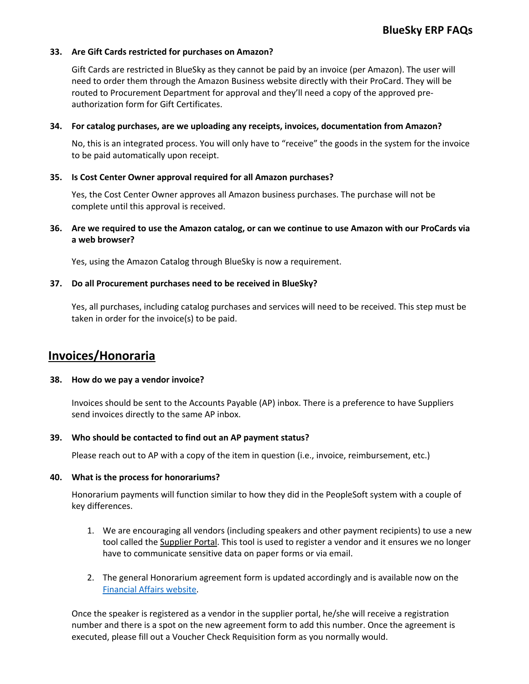#### **33. Are Gift Cards restricted for purchases on Amazon?**

Gift Cards are restricted in BlueSky as they cannot be paid by an invoice (per Amazon). The user will need to order them through the Amazon Business website directly with their ProCard. They will be routed to Procurement Department for approval and they'll need a copy of the approved preauthorization form for Gift Certificates.

#### **34. For catalog purchases, are we uploading any receipts, invoices, documentation from Amazon?**

No, this is an integrated process. You will only have to "receive" the goods in the system for the invoice to be paid automatically upon receipt.

#### **35. Is Cost Center Owner approval required for all Amazon purchases?**

Yes, the Cost Center Owner approves all Amazon business purchases. The purchase will not be complete until this approval is received.

### **36. Are we required to use the Amazon catalog, or can we continue to use Amazon with our ProCards via a web browser?**

Yes, using the Amazon Catalog through BlueSky is now a requirement.

#### **37. Do all Procurement purchases need to be received in BlueSky?**

Yes, all purchases, including catalog purchases and services will need to be received. This step must be taken in order for the invoice(s) to be paid.

# **Invoices/Honoraria**

#### **38. How do we pay a vendor invoice?**

Invoices should be sent to the Accounts Payable (AP) inbox. There is a preference to have Suppliers send invoices directly to the same AP inbox.

#### **39. Who should be contacted to find out an AP payment status?**

Please reach out to AP with a copy of the item in question (i.e., invoice, reimbursement, etc.)

### **40. What is the process for honorariums?**

Honorarium payments will function similar to how they did in the PeopleSoft system with a couple of key differences.

- 1. We are encouraging all vendors (including speakers and other payment recipients) to use a new tool called the Supplier Portal. This tool is used to register a vendor and it ensures we no longer have to communicate sensitive data on paper forms or via email.
- 2. The general Honorarium agreement form is updated accordingly and is available now on the Financial Affairs website.

Once the speaker is registered as a vendor in the supplier portal, he/she will receive a registration number and there is a spot on the new agreement form to add this number. Once the agreement is executed, please fill out a Voucher Check Requisition form as you normally would.